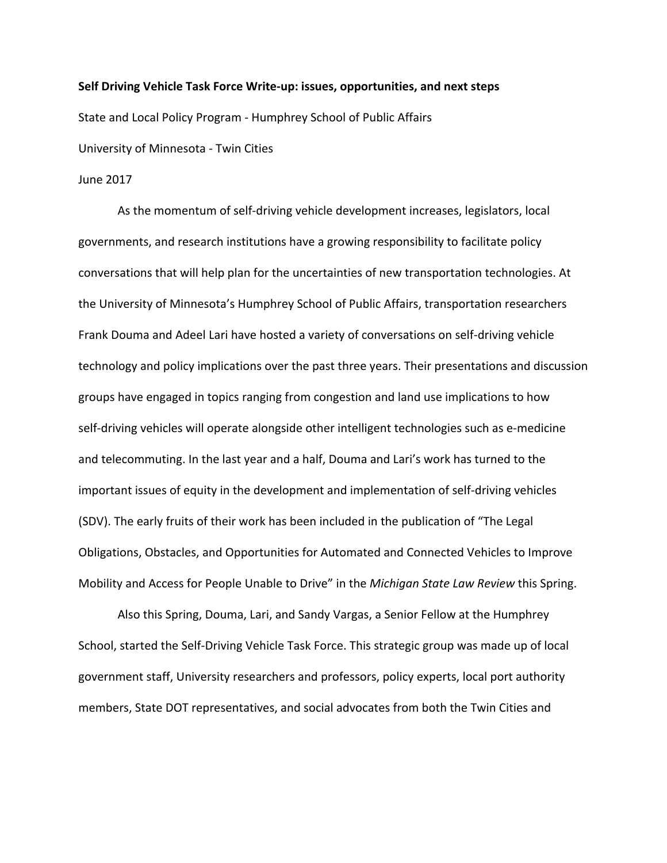#### Self Driving Vehicle Task Force Write-up: issues, opportunities, and next steps

State and Local Policy Program - Humphrey School of Public Affairs

University of Minnesota - Twin Cities

June 2017

As the momentum of self-driving vehicle development increases, legislators, local governments, and research institutions have a growing responsibility to facilitate policy conversations that will help plan for the uncertainties of new transportation technologies. At the University of Minnesota's Humphrey School of Public Affairs, transportation researchers Frank Douma and Adeel Lari have hosted a variety of conversations on self-driving vehicle technology and policy implications over the past three years. Their presentations and discussion groups have engaged in topics ranging from congestion and land use implications to how self-driving vehicles will operate alongside other intelligent technologies such as e-medicine and telecommuting. In the last year and a half, Douma and Lari's work has turned to the important issues of equity in the development and implementation of self-driving vehicles (SDV). The early fruits of their work has been included in the publication of "The Legal Obligations, Obstacles, and Opportunities for Automated and Connected Vehicles to Improve Mobility and Access for People Unable to Drive" in the Michigan State Law Review this Spring.

Also this Spring, Douma, Lari, and Sandy Vargas, a Senior Fellow at the Humphrey School, started the Self-Driving Vehicle Task Force. This strategic group was made up of local government staff, University researchers and professors, policy experts, local port authority members, State DOT representatives, and social advocates from both the Twin Cities and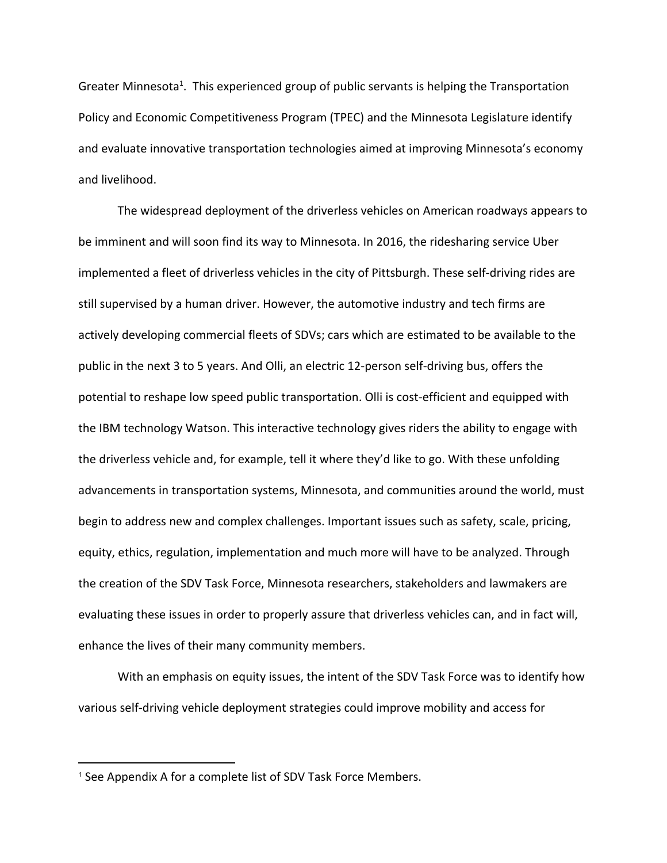Greater Minnesota<sup>1</sup>. This experienced group of public servants is helping the Transportation Policy and Economic Competitiveness Program (TPEC) and the Minnesota Legislature identify and evaluate innovative transportation technologies aimed at improving Minnesota's economy and livelihood.

The widespread deployment of the driverless vehicles on American roadways appears to be imminent and will soon find its way to Minnesota. In 2016, the ridesharing service Uber implemented a fleet of driverless vehicles in the city of Pittsburgh. These self-driving rides are still supervised by a human driver. However, the automotive industry and tech firms are actively developing commercial fleets of SDVs; cars which are estimated to be available to the public in the next 3 to 5 years. And Olli, an electric 12-person self-driving bus, offers the potential to reshape low speed public transportation. Olli is cost-efficient and equipped with the IBM technology Watson. This interactive technology gives riders the ability to engage with the driverless vehicle and, for example, tell it where they'd like to go. With these unfolding advancements in transportation systems, Minnesota, and communities around the world, must begin to address new and complex challenges. Important issues such as safety, scale, pricing, equity, ethics, regulation, implementation and much more will have to be analyzed. Through the creation of the SDV Task Force, Minnesota researchers, stakeholders and lawmakers are evaluating these issues in order to properly assure that driverless vehicles can, and in fact will, enhance the lives of their many community members.

With an emphasis on equity issues, the intent of the SDV Task Force was to identify how various self-driving vehicle deployment strategies could improve mobility and access for

<sup>&</sup>lt;sup>1</sup> See Appendix A for a complete list of SDV Task Force Members.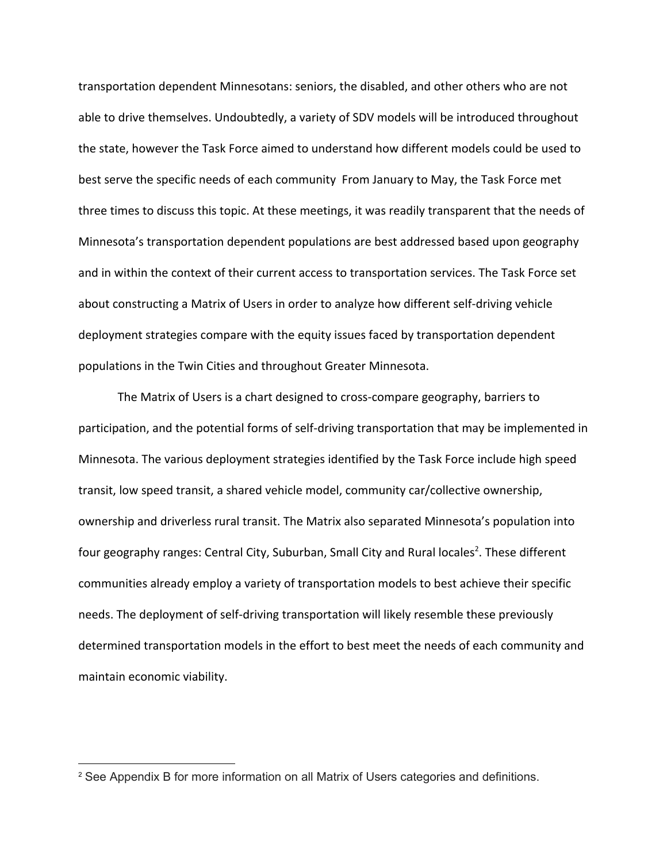transportation dependent Minnesotans: seniors, the disabled, and other others who are not able to drive themselves. Undoubtedly, a variety of SDV models will be introduced throughout the state, however the Task Force aimed to understand how different models could be used to best serve the specific needs of each community From January to May, the Task Force met three times to discuss this topic. At these meetings, it was readily transparent that the needs of Minnesota's transportation dependent populations are best addressed based upon geography and in within the context of their current access to transportation services. The Task Force set about constructing a Matrix of Users in order to analyze how different self-driving vehicle deployment strategies compare with the equity issues faced by transportation dependent populations in the Twin Cities and throughout Greater Minnesota.

The Matrix of Users is a chart designed to cross-compare geography, barriers to participation, and the potential forms of self-driving transportation that may be implemented in Minnesota. The various deployment strategies identified by the Task Force include high speed transit, low speed transit, a shared vehicle model, community car/collective ownership, ownership and driverless rural transit. The Matrix also separated Minnesota's population into four geography ranges: Central City, Suburban, Small City and Rural locales<sup>2</sup>. These different communities already employ a variety of transportation models to best achieve their specific needs. The deployment of self-driving transportation will likely resemble these previously determined transportation models in the effort to best meet the needs of each community and maintain economic viability.

<sup>2</sup> See Appendix B for more information on all Matrix of Users categories and definitions.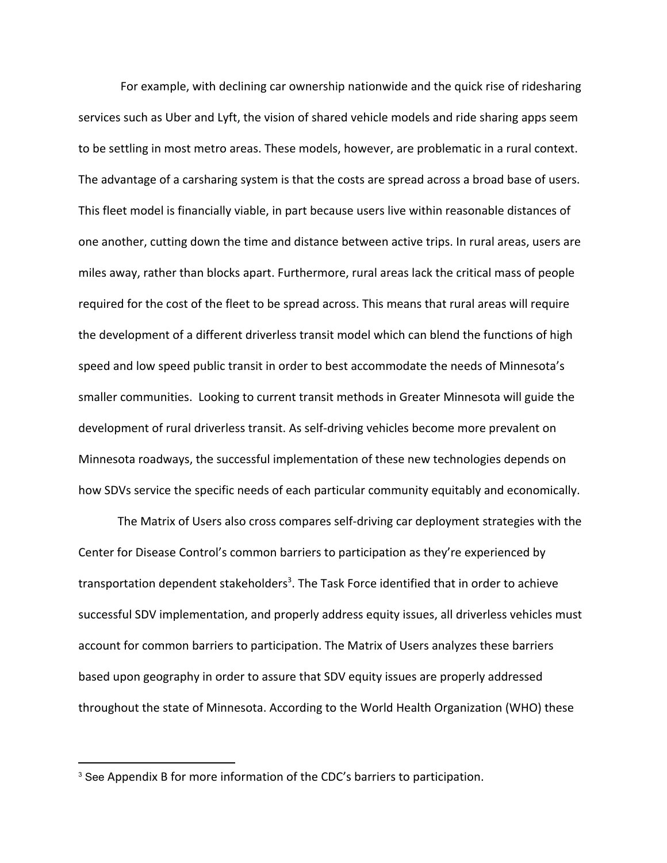For example, with declining car ownership nationwide and the quick rise of ridesharing services such as Uber and Lyft, the vision of shared vehicle models and ride sharing apps seem to be settling in most metro areas. These models, however, are problematic in a rural context. The advantage of a carsharing system is that the costs are spread across a broad base of users. This fleet model is financially viable, in part because users live within reasonable distances of one another, cutting down the time and distance between active trips. In rural areas, users are miles away, rather than blocks apart. Furthermore, rural areas lack the critical mass of people required for the cost of the fleet to be spread across. This means that rural areas will require the development of a different driverless transit model which can blend the functions of high speed and low speed public transit in order to best accommodate the needs of Minnesota's smaller communities. Looking to current transit methods in Greater Minnesota will guide the development of rural driverless transit. As self-driving vehicles become more prevalent on Minnesota roadways, the successful implementation of these new technologies depends on how SDVs service the specific needs of each particular community equitably and economically.

The Matrix of Users also cross compares self-driving car deployment strategies with the Center for Disease Control's common barriers to participation as they're experienced by transportation dependent stakeholders<sup>3</sup>. The Task Force identified that in order to achieve successful SDV implementation, and properly address equity issues, all driverless vehicles must account for common barriers to participation. The Matrix of Users analyzes these barriers based upon geography in order to assure that SDV equity issues are properly addressed throughout the state of Minnesota. According to the World Health Organization (WHO) these

<sup>&</sup>lt;sup>3</sup> See Appendix B for more information of the CDC's barriers to participation.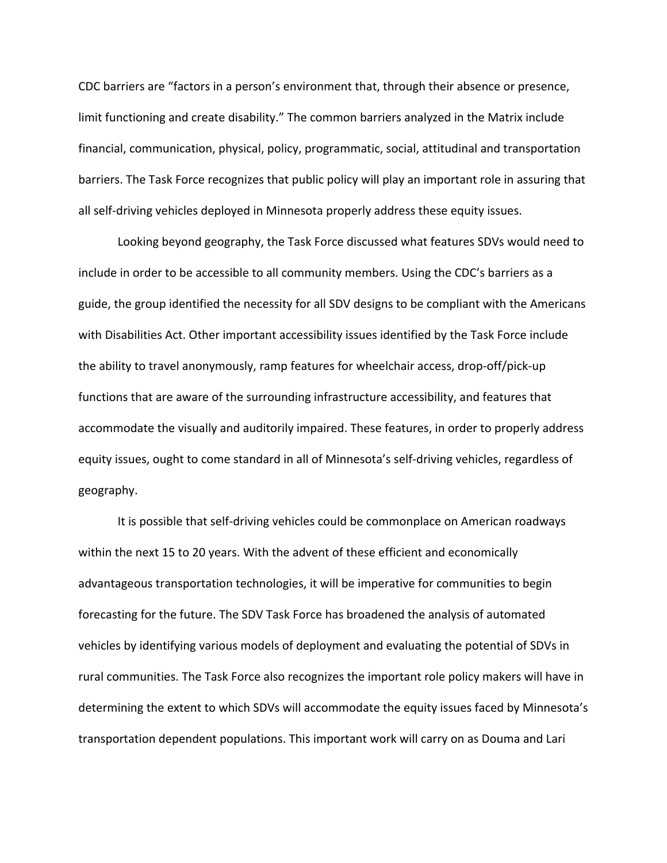CDC barriers are "factors in a person's environment that, through their absence or presence, limit functioning and create disability." The common barriers analyzed in the Matrix include financial, communication, physical, policy, programmatic, social, attitudinal and transportation barriers. The Task Force recognizes that public policy will play an important role in assuring that all self-driving vehicles deployed in Minnesota properly address these equity issues.

Looking beyond geography, the Task Force discussed what features SDVs would need to include in order to be accessible to all community members. Using the CDC's barriers as a guide, the group identified the necessity for all SDV designs to be compliant with the Americans with Disabilities Act. Other important accessibility issues identified by the Task Force include the ability to travel anonymously, ramp features for wheelchair access, drop-off/pick-up functions that are aware of the surrounding infrastructure accessibility, and features that accommodate the visually and auditorily impaired. These features, in order to properly address equity issues, ought to come standard in all of Minnesota's self-driving vehicles, regardless of geography.

It is possible that self-driving vehicles could be commonplace on American roadways within the next 15 to 20 years. With the advent of these efficient and economically advantageous transportation technologies, it will be imperative for communities to begin forecasting for the future. The SDV Task Force has broadened the analysis of automated vehicles by identifying various models of deployment and evaluating the potential of SDVs in rural communities. The Task Force also recognizes the important role policy makers will have in determining the extent to which SDVs will accommodate the equity issues faced by Minnesota's transportation dependent populations. This important work will carry on as Douma and Lari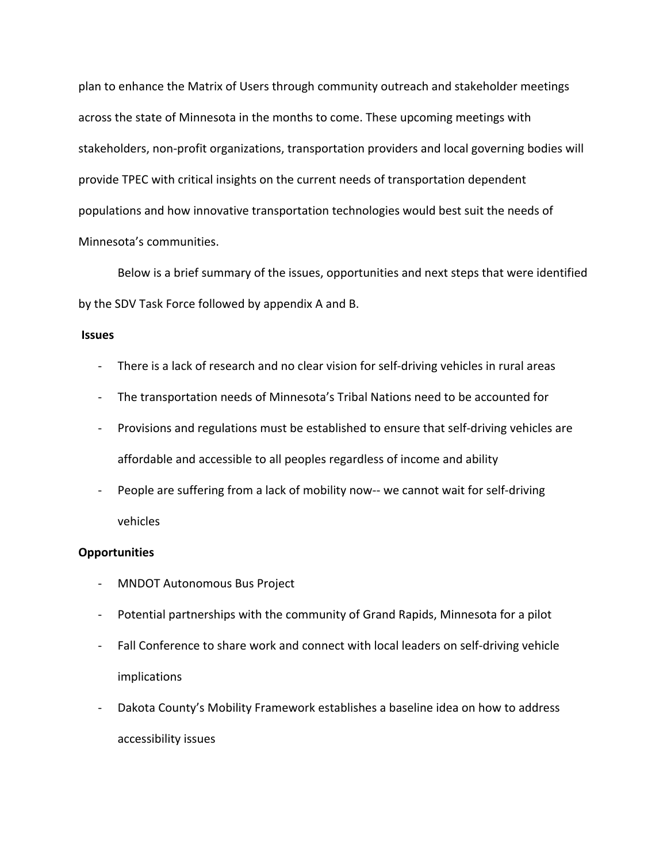plan to enhance the Matrix of Users through community outreach and stakeholder meetings across the state of Minnesota in the months to come. These upcoming meetings with stakeholders, non-profit organizations, transportation providers and local governing bodies will provide TPEC with critical insights on the current needs of transportation dependent populations and how innovative transportation technologies would best suit the needs of Minnesota's communities.

Below is a brief summary of the issues, opportunities and next steps that were identified by the SDV Task Force followed by appendix A and B.

#### Issues

- There is a lack of research and no clear vision for self-driving vehicles in rural areas
- The transportation needs of Minnesota's Tribal Nations need to be accounted for
- Provisions and regulations must be established to ensure that self-driving vehicles are affordable and accessible to all peoples regardless of income and ability
- People are suffering from a lack of mobility now-- we cannot wait for self-driving vehicles

#### **Opportunities**

- MNDOT Autonomous Bus Project
- Potential partnerships with the community of Grand Rapids, Minnesota for a pilot
- Fall Conference to share work and connect with local leaders on self-driving vehicle implications
- Dakota County's Mobility Framework establishes a baseline idea on how to address accessibility issues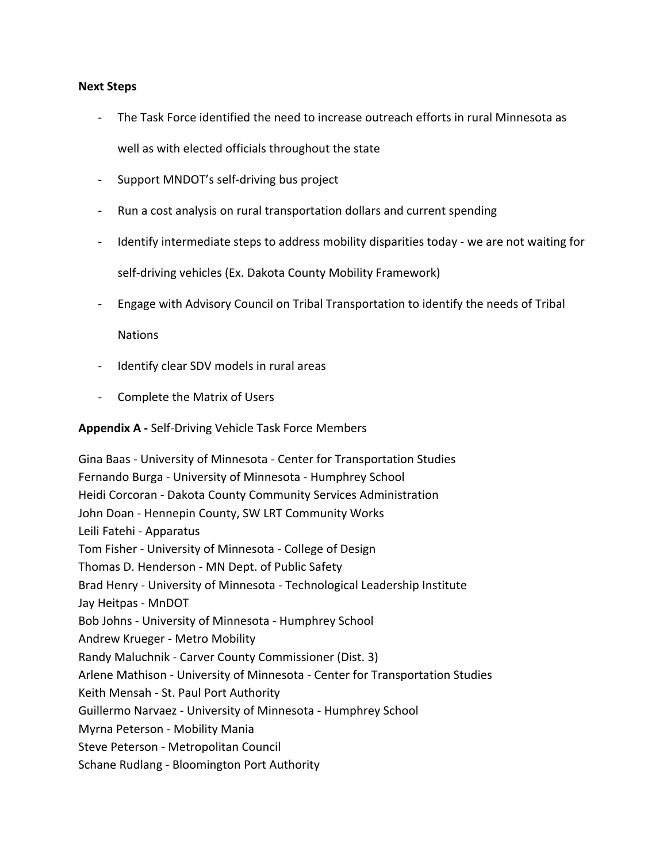#### Next Steps

- The Task Force identified the need to increase outreach efforts in rural Minnesota as well as with elected officials throughout the state
- Support MNDOT's self-driving bus project
- Run a cost analysis on rural transportation dollars and current spending
- Identify intermediate steps to address mobility disparities today we are not waiting for self-driving vehicles (Ex. Dakota County Mobility Framework)
- Engage with Advisory Council on Tribal Transportation to identify the needs of Tribal

**Nations** 

- Identify clear SDV models in rural areas
- Complete the Matrix of Users

## Appendix A - Self-Driving Vehicle Task Force Members

Gina Baas - University of Minnesota - Center for Transportation Studies Fernando Burga - University of Minnesota - Humphrey School Heidi Corcoran - Dakota County Community Services Administration John Doan - Hennepin County, SW LRT Community Works Leili Fatehi - Apparatus Tom Fisher - University of Minnesota - College of Design Thomas D. Henderson - MN Dept. of Public Safety Brad Henry - University of Minnesota - Technological Leadership Institute Jay Heitpas - MnDOT Bob Johns - University of Minnesota - Humphrey School Andrew Krueger - Metro Mobility Randy Maluchnik - Carver County Commissioner (Dist. 3) Arlene Mathison - University of Minnesota - Center for Transportation Studies Keith Mensah - St. Paul Port Authority Guillermo Narvaez - University of Minnesota - Humphrey School Myrna Peterson - Mobility Mania Steve Peterson - Metropolitan Council Schane Rudlang - Bloomington Port Authority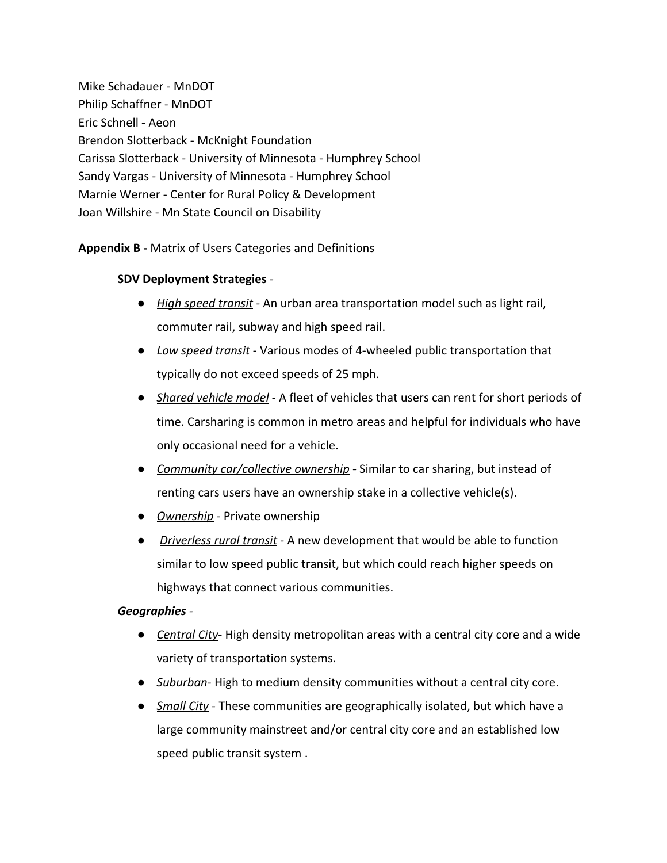Mike Schadauer - MnDOT Philip Schaffner - MnDOT Eric Schnell - Aeon Brendon Slotterback - McKnight Foundation Carissa Slotterback - University of Minnesota - Humphrey School Sandy Vargas - University of Minnesota - Humphrey School Marnie Werner - Center for Rural Policy & Development Joan Willshire - Mn State Council on Disability

# Appendix B - Matrix of Users Categories and Definitions

# SDV Deployment Strategies -

- High speed transit An urban area transportation model such as light rail, commuter rail, subway and high speed rail.
- Low speed transit Various modes of 4-wheeled public transportation that typically do not exceed speeds of 25 mph.
- Shared vehicle model A fleet of vehicles that users can rent for short periods of time. Carsharing is common in metro areas and helpful for individuals who have only occasional need for a vehicle.
- Community car/collective ownership Similar to car sharing, but instead of renting cars users have an ownership stake in a collective vehicle(s).
- *Ownership* Private ownership
- Driverless rural transit A new development that would be able to function similar to low speed public transit, but which could reach higher speeds on highways that connect various communities.

# Geographies -

- Central City-High density metropolitan areas with a central city core and a wide variety of transportation systems.
- Suburban-High to medium density communities without a central city core.
- Small City These communities are geographically isolated, but which have a large community mainstreet and/or central city core and an established low speed public transit system .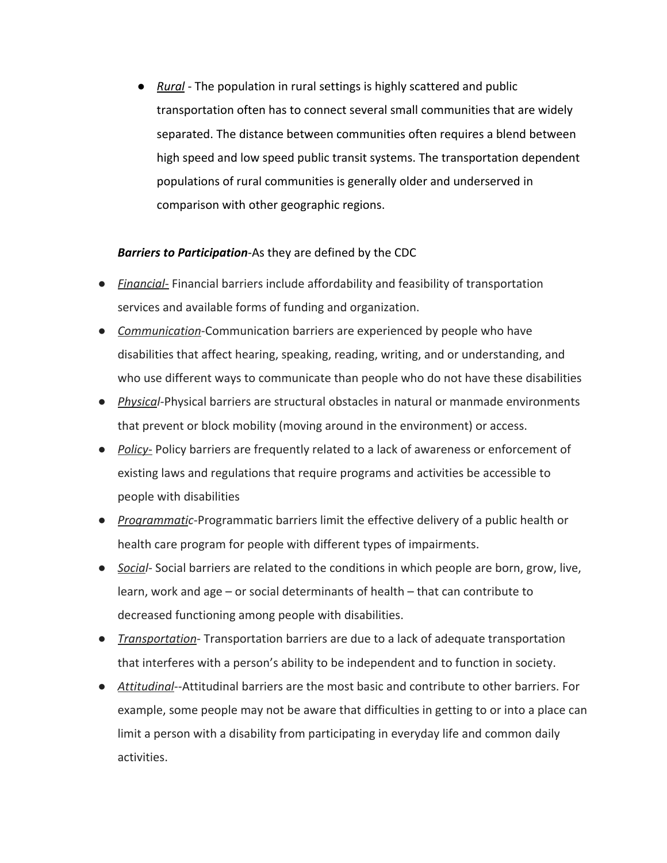● Rural - The population in rural settings is highly scattered and public transportation often has to connect several small communities that are widely separated. The distance between communities often requires a blend between high speed and low speed public transit systems. The transportation dependent populations of rural communities is generally older and underserved in comparison with other geographic regions.

## **Barriers to Participation-As they are defined by the CDC**

- Financial- Financial barriers include affordability and feasibility of transportation services and available forms of funding and organization.
- Communication-Communication barriers are experienced by people who have disabilities that affect hearing, speaking, reading, writing, and or understanding, and who use different ways to communicate than people who do not have these disabilities
- Physical-Physical barriers are structural obstacles in natural or manmade environments that prevent or block mobility (moving around in the environment) or access.
- Policy- Policy barriers are frequently related to a lack of awareness or enforcement of existing laws and regulations that require programs and activities be accessible to people with disabilities
- Programmatic-Programmatic barriers limit the effective delivery of a public health or health care program for people with different types of impairments.
- Social- Social barriers are related to the conditions in which people are born, grow, live, learn, work and age – or social determinants of health – that can contribute to decreased functioning among people with disabilities.
- Transportation-Transportation barriers are due to a lack of adequate transportation that interferes with a person's ability to be independent and to function in society.
- Attitudinal--Attitudinal barriers are the most basic and contribute to other barriers. For example, some people may not be aware that difficulties in getting to or into a place can limit a person with a disability from participating in everyday life and common daily activities.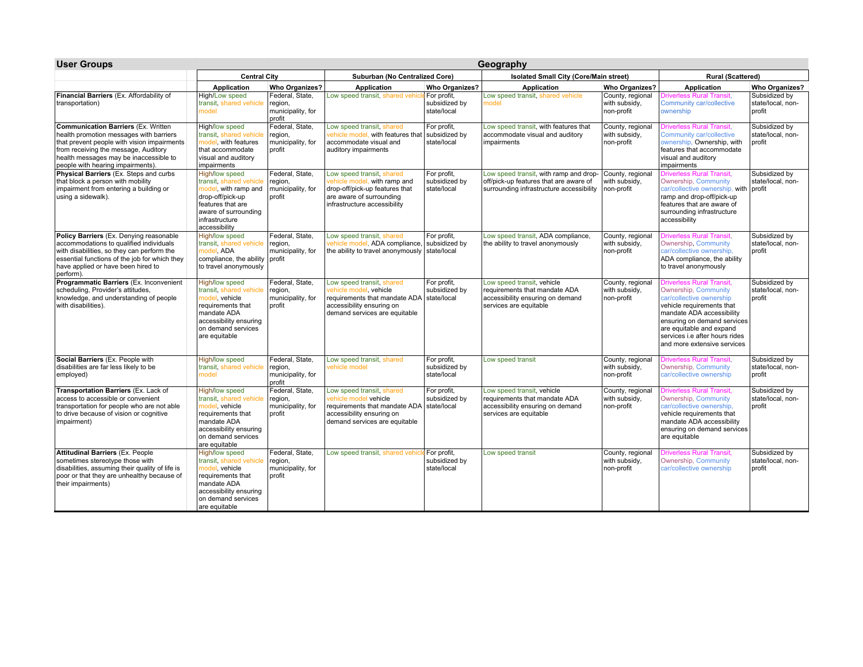| <b>User Groups</b>                                                                                                                                                                                                                                           |                                                                                                                                                                              |                                                           |                                                                                                                                                                  |                                             | Geography                                                                                                                    |                                                 |                                                                                                                                                                                                                                                                           |                                              |  |
|--------------------------------------------------------------------------------------------------------------------------------------------------------------------------------------------------------------------------------------------------------------|------------------------------------------------------------------------------------------------------------------------------------------------------------------------------|-----------------------------------------------------------|------------------------------------------------------------------------------------------------------------------------------------------------------------------|---------------------------------------------|------------------------------------------------------------------------------------------------------------------------------|-------------------------------------------------|---------------------------------------------------------------------------------------------------------------------------------------------------------------------------------------------------------------------------------------------------------------------------|----------------------------------------------|--|
|                                                                                                                                                                                                                                                              | <b>Central City</b>                                                                                                                                                          |                                                           | Suburban (No Centralized Core)                                                                                                                                   |                                             | <b>Isolated Small City (Core/Main street)</b>                                                                                |                                                 | <b>Rural (Scattered)</b>                                                                                                                                                                                                                                                  |                                              |  |
|                                                                                                                                                                                                                                                              | <b>Application</b>                                                                                                                                                           | <b>Who Organizes?</b>                                     | Application                                                                                                                                                      | <b>Who Organizes?</b>                       | Application                                                                                                                  | <b>Who Organizes?</b>                           | Application                                                                                                                                                                                                                                                               | <b>Who Organizes?</b>                        |  |
| Financial Barriers (Ex. Affordability of<br>transportation)                                                                                                                                                                                                  | High/Low speed<br>transit, shared vehicle<br>model                                                                                                                           | Federal, State,<br>region,<br>municipality, for<br>profit | Low speed transit, shared vehic                                                                                                                                  | For profit,<br>subsidized by<br>state/local | Low speed transit, shared vehicle<br>model                                                                                   | County, regional<br>with subsidy,<br>non-profit | Priverless Rural Transit,<br><b>Community car/collective</b><br>ownership                                                                                                                                                                                                 | Subsidized by<br>state/local, non-<br>profit |  |
| <b>Communication Barriers (Ex. Written)</b><br>health promotion messages with barriers<br>that prevent people with vision impairments<br>from receiving the message, Auditory<br>health messages may be inaccessible to<br>people with hearing impairments). | High/low speed<br>transit, shared vehicle<br>model, with features<br>that accommodate<br>visual and auditory<br>impairments                                                  | Federal, State,<br>region,<br>municipality, for<br>profit | Low speed transit, shared<br>vehicle model, with features that subsidized by<br>accommodate visual and<br>auditory impairments                                   | For profit,<br>state/local                  | Low speed transit, with features that<br>accommodate visual and auditory<br>impairments                                      | County, regional<br>with subsidy,<br>non-profit | Driverless Rural Transit.<br>Community car/collective<br>ownership, Ownership, with<br>features that accommodate<br>visual and auditory<br>impairments                                                                                                                    | Subsidized by<br>state/local, non-<br>profit |  |
| Physical Barriers (Ex. Steps and curbs<br>that block a person with mobility<br>impairment from entering a building or<br>using a sidewalk).                                                                                                                  | <b>High/low speed</b><br>transit, shared vehicle<br>model, with ramp and<br>drop-off/pick-up<br>features that are<br>aware of surrounding<br>infrastructure<br>accessibility | Federal, State,<br>region,<br>municipality, for<br>profit | Low speed transit, shared<br>vehicle model, with ramp and<br>drop-off/pick-up features that<br>are aware of surrounding<br>infrastructure accessibility          | For profit,<br>subsidized by<br>state/local | Low speed transit, with ramp and drop-<br>off/pick-up features that are aware of<br>surrounding infrastructure accessibility | County, regional<br>with subsidy,<br>non-profit | <b>Driverless Rural Transit.</b><br>Ownership, Community<br>car/collective ownership, with profit<br>ramp and drop-off/pick-up<br>features that are aware of<br>surrounding infrastructure<br>accessibility                                                               | Subsidized by<br>state/local, non-           |  |
| Policy Barriers (Ex. Denying reasonable<br>accommodations to qualified individuals<br>with disabilities, so they can perform the<br>essential functions of the job for which they<br>have applied or have been hired to<br>perform).                         | <b>High/low speed</b><br>transit, shared vehicle<br>nodel, ADA<br>compliance, the ability<br>to travel anonymously                                                           | Federal, State,<br>region,<br>municipality, for<br>profit | Low speed transit, shared<br>vehicle model, ADA compliance, subsidized by<br>the ability to travel anonymously state/local                                       | For profit,                                 | Low speed transit, ADA compliance,<br>the ability to travel anonymously                                                      | County, regional<br>with subsidy,<br>non-profit | <b>Driverless Rural Transit.</b><br>Ownership, Community<br>car/collective ownership.<br>ADA compliance, the ability<br>to travel anonymously                                                                                                                             | Subsidized by<br>state/local, non-<br>profit |  |
| Programmatic Barriers (Ex. Inconvenient<br>scheduling, Provider's attitudes,<br>knowledge, and understanding of people<br>with disabilities).                                                                                                                | <b>High/low speed</b><br>transit, shared vehicle<br>model, vehicle<br>requirements that<br>mandate ADA<br>accessibility ensuring<br>on demand services<br>are equitable      | Federal, State,<br>region,<br>municipality, for<br>profit | Low speed transit, shared<br>vehicle model, vehicle<br>requirements that mandate ADA   state/local<br>accessibility ensuring on<br>demand services are equitable | For profit,<br>subsidized by                | Low speed transit, vehicle<br>requirements that mandate ADA<br>accessibility ensuring on demand<br>services are equitable    | County, regional<br>with subsidy,<br>non-profit | <b>Driverless Rural Transit</b><br>Ownership, Community<br>car/collective ownership<br>vehicle requirements that<br>mandate ADA accessibility<br>ensuring on demand services<br>are equitable and expand<br>services i.e after hours rides<br>and more extensive services | Subsidized by<br>state/local, non-<br>profit |  |
| Social Barriers (Ex. People with<br>disabilities are far less likely to be<br>employed)                                                                                                                                                                      | High/low speed<br>transit, shared vehicle<br>model                                                                                                                           | Federal, State,<br>region,<br>municipality, for<br>profit | Low speed transit, shared<br>vehicle model                                                                                                                       | For profit,<br>subsidized by<br>state/local | Low speed transit                                                                                                            | County, regional<br>with subsidy,<br>non-profit | <b>Driverless Rural Transit.</b><br>Ownership, Community<br>car/collective ownership                                                                                                                                                                                      | Subsidized by<br>state/local, non-<br>profit |  |
| Transportation Barriers (Ex. Lack of<br>access to accessible or convenient<br>transportation for people who are not able<br>to drive because of vision or cognitive<br>impairment)                                                                           | <b>High/low speed</b><br>transit, shared vehicle<br>nodel, vehicle<br>requirements that<br>mandate ADA<br>accessibility ensuring<br>on demand services<br>are equitable      | Federal, State,<br>region,<br>municipality, for<br>profit | Low speed transit, shared<br>vehicle model vehicle<br>requirements that mandate ADA   state/local<br>accessibility ensuring on<br>demand services are equitable  | For profit,<br>subsidized by                | Low speed transit, vehicle<br>requirements that mandate ADA<br>accessibility ensuring on demand<br>services are equitable    | County, regional<br>with subsidy,<br>non-profit | Driverless Rural Transit<br>Ownership, Community<br>car/collective ownership,<br>vehicle requirements that<br>mandate ADA accessibility<br>ensuring on demand services<br>are equitable                                                                                   | Subsidized by<br>state/local, non-<br>profit |  |
| <b>Attitudinal Barriers (Ex. People</b><br>sometimes stereotype those with<br>disabilities, assuming their quality of life is<br>poor or that they are unhealthy because of<br>their impairments)                                                            | High/low speed<br>transit, shared vehicle<br>nodel, vehicle<br>requirements that<br>mandate ADA<br>accessibility ensuring<br>on demand services<br>are equitable             | Federal, State.<br>region,<br>municipality, for<br>profit | Low speed transit, shared vehic                                                                                                                                  | For profit,<br>subsidized by<br>state/local | Low speed transit                                                                                                            | County, regional<br>with subsidy,<br>non-profit | Driverless Rural Transit,<br>Ownership, Community<br>car/collective ownership                                                                                                                                                                                             | Subsidized by<br>state/local, non-<br>profit |  |